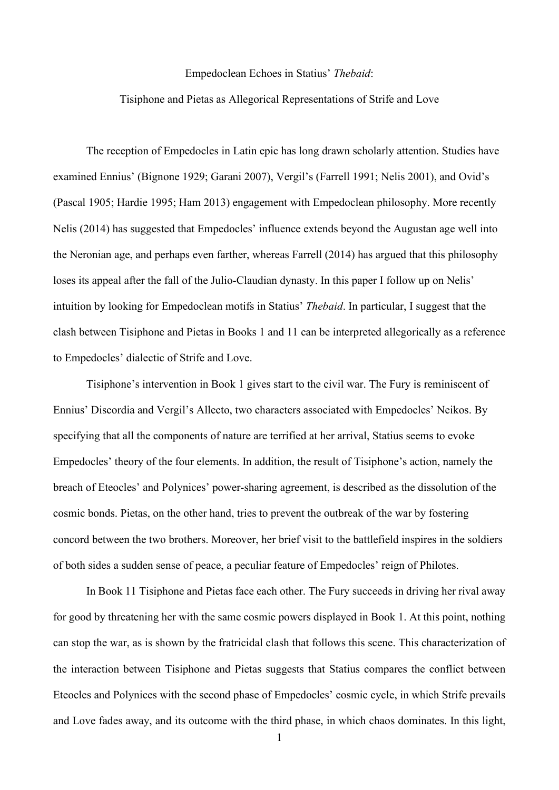## Empedoclean Echoes in Statius' *Thebaid*:

## Tisiphone and Pietas as Allegorical Representations of Strife and Love

The reception of Empedocles in Latin epic has long drawn scholarly attention. Studies have examined Ennius' (Bignone 1929; Garani 2007), Vergil's (Farrell 1991; Nelis 2001), and Ovid's (Pascal 1905; Hardie 1995; Ham 2013) engagement with Empedoclean philosophy. More recently Nelis (2014) has suggested that Empedocles' influence extends beyond the Augustan age well into the Neronian age, and perhaps even farther, whereas Farrell (2014) has argued that this philosophy loses its appeal after the fall of the Julio-Claudian dynasty. In this paper I follow up on Nelis' intuition by looking for Empedoclean motifs in Statius' *Thebaid*. In particular, I suggest that the clash between Tisiphone and Pietas in Books 1 and 11 can be interpreted allegorically as a reference to Empedocles' dialectic of Strife and Love.

Tisiphone's intervention in Book 1 gives start to the civil war. The Fury is reminiscent of Ennius' Discordia and Vergil's Allecto, two characters associated with Empedocles' Neikos. By specifying that all the components of nature are terrified at her arrival, Statius seems to evoke Empedocles' theory of the four elements. In addition, the result of Tisiphone's action, namely the breach of Eteocles' and Polynices' power-sharing agreement, is described as the dissolution of the cosmic bonds. Pietas, on the other hand, tries to prevent the outbreak of the war by fostering concord between the two brothers. Moreover, her brief visit to the battlefield inspires in the soldiers of both sides a sudden sense of peace, a peculiar feature of Empedocles' reign of Philotes.

In Book 11 Tisiphone and Pietas face each other. The Fury succeeds in driving her rival away for good by threatening her with the same cosmic powers displayed in Book 1. At this point, nothing can stop the war, as is shown by the fratricidal clash that follows this scene. This characterization of the interaction between Tisiphone and Pietas suggests that Statius compares the conflict between Eteocles and Polynices with the second phase of Empedocles' cosmic cycle, in which Strife prevails and Love fades away, and its outcome with the third phase, in which chaos dominates. In this light,